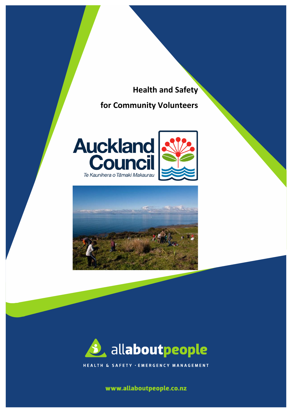## **Health and Safety**

## **for Community Volunteers**







HEALTH & SAFETY · EMERGENCY MANAGEMENT

www.allaboutpeople.co.nz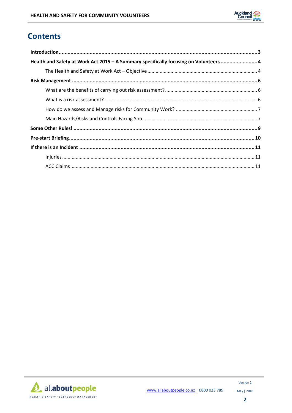

## **Contents**

| Health and Safety at Work Act 2015 - A Summary specifically focusing on Volunteers  4 |  |
|---------------------------------------------------------------------------------------|--|
|                                                                                       |  |
|                                                                                       |  |
|                                                                                       |  |
|                                                                                       |  |
|                                                                                       |  |
|                                                                                       |  |
|                                                                                       |  |
|                                                                                       |  |
|                                                                                       |  |
|                                                                                       |  |
|                                                                                       |  |



May | 2018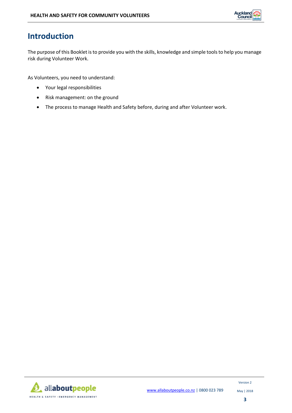

## <span id="page-2-0"></span>**Introduction**

The purpose of this Booklet is to provide you with the skills, knowledge and simple tools to help you manage risk during Volunteer Work.

As Volunteers, you need to understand:

- Your legal responsibilities
- Risk management: on the ground
- The process to manage Health and Safety before, during and after Volunteer work.

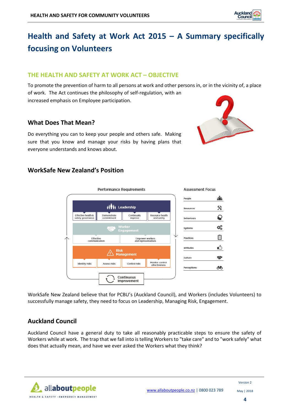

# <span id="page-3-0"></span>**Health and Safety at Work Act 2015 – A Summary specifically focusing on Volunteers**

## <span id="page-3-1"></span>**THE HEALTH AND SAFETY AT WORK ACT – OBJECTIVE**

To promote the prevention of harm to all persons at work and other persons in, or in the vicinity of, a place of work. The Act continues the philosophy of self-regulation, with an increased emphasis on Employee participation.

### **What Does That Mean?**

Do everything you can to keep your people and others safe. Making sure that you know and manage your risks by having plans that everyone understands and knows about.



## **WorkSafe New Zealand's Position**



WorkSafe New Zealand believe that for PCBU's (Auckland Council), and Workers (includes Volunteers) to successfully manage safety, they need to focus on Leadership, Managing Risk, Engagement.

### **Auckland Council**

Auckland Council have a general duty to take all reasonably practicable steps to ensure the safety of Workers while at work. The trap that we fall into is telling Workers to "take care" and to "work safely" what does that actually mean, and have we ever asked the Workers what they think?



Version 2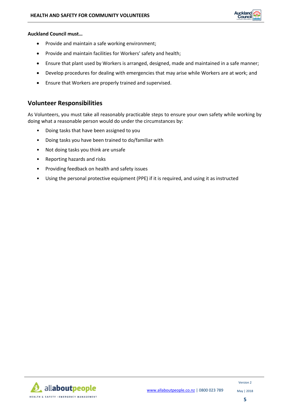

#### **Auckland Council must…**

- Provide and maintain a safe working environment;
- Provide and maintain facilities for Workers' safety and health;
- Ensure that plant used by Workers is arranged, designed, made and maintained in a safe manner;
- Develop procedures for dealing with emergencies that may arise while Workers are at work; and
- Ensure that Workers are properly trained and supervised.

### **Volunteer Responsibilities**

As Volunteers, you must take all reasonably practicable steps to ensure your own safety while working by doing what a reasonable person would do under the circumstances by:

- Doing tasks that have been assigned to you
- Doing tasks you have been trained to do/familiar with
- Not doing tasks you think are unsafe
- Reporting hazards and risks
- Providing feedback on health and safety issues
- Using the personal protective equipment (PPE) if it is required, and using it as instructed



Version 2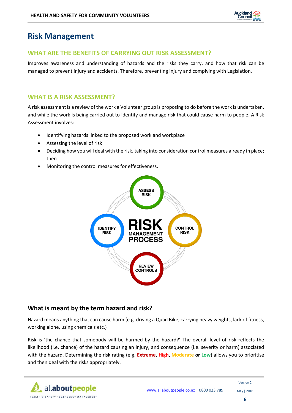

## <span id="page-5-0"></span>**Risk Management**

### <span id="page-5-1"></span>**WHAT ARE THE BENEFITS OF CARRYING OUT RISK ASSESSMENT?**

Improves awareness and understanding of hazards and the risks they carry, and how that risk can be managed to prevent injury and accidents. Therefore, preventing injury and complying with Legislation.

## <span id="page-5-2"></span>**WHAT IS A RISK ASSESSMENT?**

A risk assessment is a review of the work a Volunteer group is proposing to do before the work is undertaken, and while the work is being carried out to identify and manage risk that could cause harm to people. A Risk Assessment involves:

- Identifying hazards linked to the proposed work and workplace
- Assessing the level of risk
- Deciding how you will deal with the risk, taking into consideration control measures already in place; then
- Monitoring the control measures for effectiveness.



### **What is meant by the term hazard and risk?**

Hazard means anything that can cause harm (e.g. driving a Quad Bike, carrying heavy weights, lack of fitness, working alone, using chemicals etc.)

Risk is 'the chance that somebody will be harmed by the hazard?' The overall level of risk reflects the likelihood (i.e. chance) of the hazard causing an injury, and consequence (i.e. severity or harm) associated with the hazard. Determining the risk rating (e.g. **Extreme, High, Moderate or Low**) allows you to prioritise and then deal with the risks appropriately.

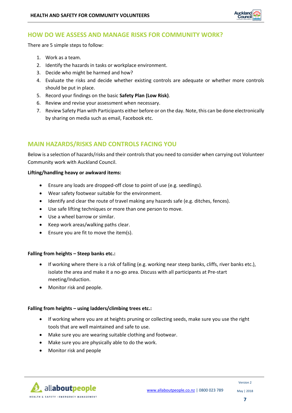

### <span id="page-6-0"></span>**HOW DO WE ASSESS AND MANAGE RISKS FOR COMMUNITY WORK?**

There are 5 simple steps to follow:

- 1. Work as a team.
- 2. Identify the hazards in tasks or workplace environment.
- 3. Decide who might be harmed and how?
- 4. Evaluate the risks and decide whether existing controls are adequate or whether more controls should be put in place.
- 5. Record your findings on the basic **Safety Plan (Low Risk)**.
- 6. Review and revise your assessment when necessary.
- 7. Review Safety Plan with Participants either before or on the day. Note, this can be done electronically by sharing on media such as email, Facebook etc.

## <span id="page-6-1"></span>**MAIN HAZARDS/RISKS AND CONTROLS FACING YOU**

Below is a selection of hazards/risks and their controls that you need to consider when carrying out Volunteer Community work with Auckland Council.

#### **Lifting/handling heavy or awkward items:**

- Ensure any loads are dropped-off close to point of use (e.g. seedlings).
- Wear safety footwear suitable for the environment.
- Identify and clear the route of travel making any hazards safe (e.g. ditches, fences).
- Use safe lifting techniques or more than one person to move.
- Use a wheel barrow or similar.
- Keep work areas/walking paths clear.
- Ensure you are fit to move the item(s).

#### **Falling from heights – Steep banks etc.:**

- If working where there is a risk of falling (e.g. working near steep banks, cliffs, river banks etc.), isolate the area and make it a no-go area. Discuss with all participants at Pre-start meeting/Induction.
- Monitor risk and people.

#### **Falling from heights – using ladders/climbing trees etc.:**

- If working where you are at heights pruning or collecting seeds, make sure you use the right tools that are well maintained and safe to use.
- Make sure you are wearing suitable clothing and footwear.
- Make sure you are physically able to do the work.
- Monitor risk and people

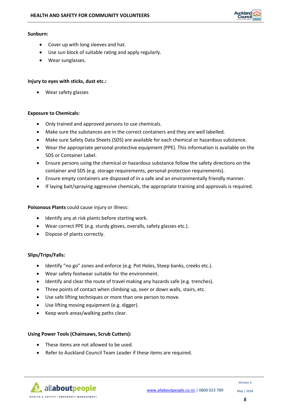

#### **Sunburn:**

- Cover up with long sleeves and hat.
- Use sun block of suitable rating and apply regularly.
- Wear sunglasses.

#### **Injury to eyes with sticks, dust etc.:**

• Wear safety glasses

#### **Exposure to Chemicals:**

- Only trained and approved persons to use chemicals.
- Make sure the substances are in the correct containers and they are well labelled.
- Make sure Safety Data Sheets (SDS) are available for each chemical or hazardous substance.
- Wear the appropriate personal protective equipment (PPE). This information is available on the SDS or Container Label.
- Ensure persons using the chemical or hazardous substance follow the safety directions on the container and SDS (e.g. storage requirements, personal protection requirements).
- Ensure empty containers are disposed of in a safe and an environmentally friendly manner.
- If laying bait/spraying aggressive chemicals, the appropriate training and approvals is required.

#### **Poisonous Plants** could cause injury or illness:

- Identify any at risk plants before starting work.
- Wear correct PPE (e.g. sturdy gloves, overalls, safety glasses etc.).
- Dispose of plants correctly.

#### **Slips/Trips/Falls:**

- Identify "no go" zones and enforce (e.g. Pot Holes, Steep banks, creeks etc.).
- Wear safety footwear suitable for the environment.
- Identify and clear the route of travel making any hazards safe (e.g. trenches).
- Three points of contact when climbing up, over or down walls, stairs, etc.
- Use safe lifting techniques or more than one person to move.
- Use lifting moving equipment (e.g. digger).
- Keep work areas/walking paths clear.

#### **Using Power Tools (Chainsaws, Scrub Cutters):**

- These items are not allowed to be used.
- Refer to Auckland Council Team Leader if these items are required.

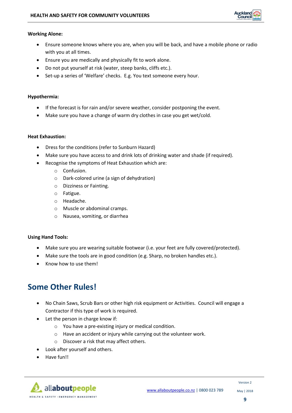

#### **Working Alone:**

- Ensure someone knows where you are, when you will be back, and have a mobile phone or radio with you at all times.
- Ensure you are medically and physically fit to work alone.
- Do not put yourself at risk (water, steep banks, cliffs etc.).
- Set-up a series of 'Welfare' checks. E.g. You text someone every hour.

#### **Hypothermia:**

- If the forecast is for rain and/or severe weather, consider postponing the event.
- Make sure you have a change of warm dry clothes in case you get wet/cold.

#### **Heat Exhaustion:**

- Dress for the conditions (refer to Sunburn Hazard)
- Make sure you have access to and drink lots of drinking water and shade (if required).
- Recognise the symptoms of Heat Exhaustion which are:
	- o Confusion.
	- o Dark-colored urine (a sign of dehydration)
	- o Dizziness or Fainting.
	- o Fatigue.
	- o Headache.
	- o Muscle or abdominal cramps.
	- o Nausea, vomiting, or diarrhea

#### **Using Hand Tools:**

- Make sure you are wearing suitable footwear (i.e. your feet are fully covered/protected).
- Make sure the tools are in good condition (e.g. Sharp, no broken handles etc.).
- Know how to use them!

## <span id="page-8-0"></span>**Some Other Rules!**

- No Chain Saws, Scrub Bars or other high risk equipment or Activities. Council will engage a Contractor if this type of work is required.
- Let the person in charge know if:
	- o You have a pre-existing injury or medical condition.
	- o Have an accident or injury while carrying out the volunteer work.
	- o Discover a risk that may affect others.
- Look after yourself and others.
- Have fun!!



Version 2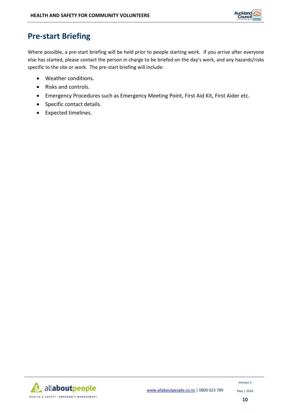

## <span id="page-9-0"></span>**Pre-start Briefing**

Where possible, a pre-start briefing will be held prior to people starting work. If you arrive after everyone else has started, please contact the person in charge to be briefed on the day's work, and any hazards/risks specific to the site or work. The pre-start briefing will include:

- Weather conditions.
- Risks and controls.
- Emergency Procedures such as Emergency Meeting Point, First Aid Kit, First Aider etc.
- Specific contact details.
- Expected timelines.